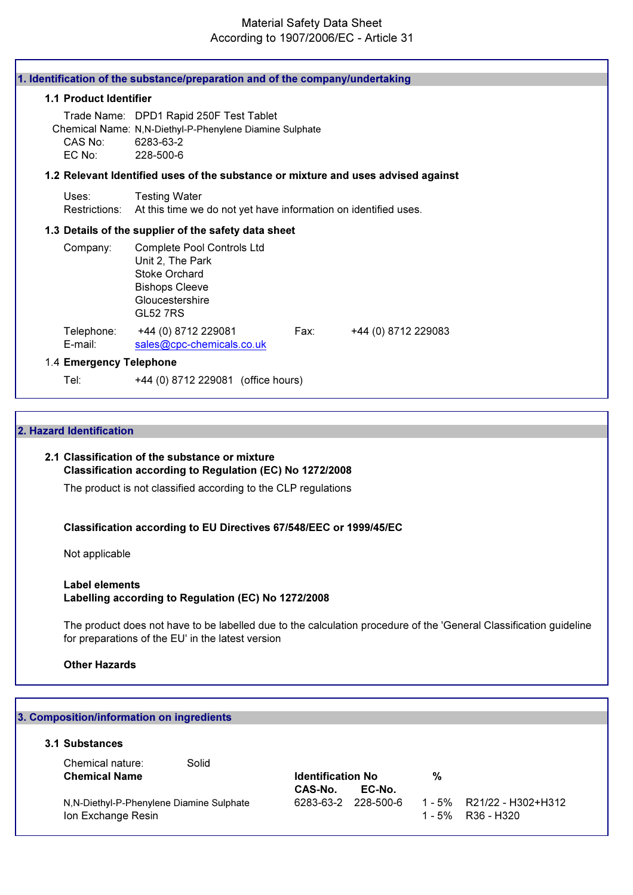## Material Safety Data Sheet According to 1907/2006/EC - Article 31

|                         | 1. Identification of the substance/preparation and of the company/undertaking                                                         |
|-------------------------|---------------------------------------------------------------------------------------------------------------------------------------|
| 1.1 Product Identifier  |                                                                                                                                       |
| CAS No:<br>EC No:       | Trade Name: DPD1 Rapid 250F Test Tablet<br>Chemical Name: N,N-Diethyl-P-Phenylene Diamine Sulphate<br>6283-63-2<br>228-500-6          |
|                         | 1.2 Relevant Identified uses of the substance or mixture and uses advised against                                                     |
| Uses:<br>Restrictions:  | <b>Testing Water</b><br>At this time we do not yet have information on identified uses.                                               |
|                         | 1.3 Details of the supplier of the safety data sheet                                                                                  |
| Company:                | Complete Pool Controls Ltd<br>Unit 2, The Park<br><b>Stoke Orchard</b><br><b>Bishops Cleeve</b><br>Gloucestershire<br><b>GL52 7RS</b> |
| Telephone:<br>E-mail:   | +44 (0) 8712 229081<br>Fax:<br>+44 (0) 8712 229083<br>sales@cpc-chemicals.co.uk                                                       |
| 1.4 Emergency Telephone |                                                                                                                                       |
| Tel:                    | +44 (0) 8712 229081 (office hours)                                                                                                    |

#### 2. Hazard Identification

# 2.1 Classification of the substance or mixture Classification according to Regulation (EC) No 1272/2008

The product is not classified according to the CLP regulations

#### Classification according to EU Directives 67/548/EEC or 1999/45/EC

Not applicable

#### Label elements Labelling according to Regulation (EC) No 1272/2008

The product does not have to be labelled due to the calculation procedure of the 'General Classification guideline for preparations of the EU' in the latest version

#### Other Hazards

# 3. Composition/information on ingredients 3.1 Substances Chemical nature: Solid Chemical Name **Internal Chemical Name Identification No** 2% CAS-No. EC-No. N,N-Diethyl-P-Phenylene Diamine Sulphate 6283-63-2 228-500-6 1 - 5% R21/22 - H302+H312 Ion Exchange Resin 2008 1 - 5% R36 - H320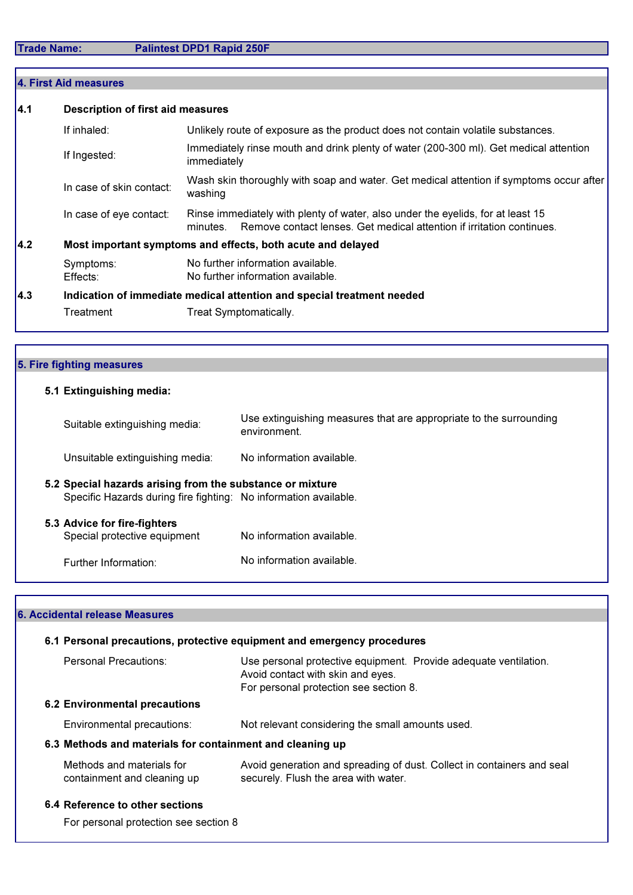|     | 4. First Aid measures                                                  |                                                                                                                                                                      |  |
|-----|------------------------------------------------------------------------|----------------------------------------------------------------------------------------------------------------------------------------------------------------------|--|
| 4.1 | <b>Description of first aid measures</b>                               |                                                                                                                                                                      |  |
|     | If inhaled:                                                            | Unlikely route of exposure as the product does not contain volatile substances.                                                                                      |  |
|     | If Ingested:                                                           | Immediately rinse mouth and drink plenty of water (200-300 ml). Get medical attention<br>immediately                                                                 |  |
|     | In case of skin contact:                                               | Wash skin thoroughly with soap and water. Get medical attention if symptoms occur after<br>washing                                                                   |  |
|     | In case of eye contact:                                                | Rinse immediately with plenty of water, also under the eyelids, for at least 15<br>Remove contact lenses. Get medical attention if irritation continues.<br>minutes. |  |
| 4.2 |                                                                        | Most important symptoms and effects, both acute and delayed                                                                                                          |  |
|     | Symptoms:<br>Effects:                                                  | No further information available.<br>No further information available.                                                                                               |  |
| 4.3 | Indication of immediate medical attention and special treatment needed |                                                                                                                                                                      |  |
|     | Treatment                                                              | Treat Symptomatically.                                                                                                                                               |  |

| 5. Fire fighting measures                                                                                                     |                                                                                    |
|-------------------------------------------------------------------------------------------------------------------------------|------------------------------------------------------------------------------------|
| 5.1 Extinguishing media:                                                                                                      |                                                                                    |
| Suitable extinguishing media:                                                                                                 | Use extinguishing measures that are appropriate to the surrounding<br>environment. |
| Unsuitable extinguishing media:                                                                                               | No information available.                                                          |
| 5.2 Special hazards arising from the substance or mixture<br>Specific Hazards during fire fighting: No information available. |                                                                                    |
| 5.3 Advice for fire-fighters<br>Special protective equipment                                                                  | No information available.                                                          |
| Further Information:                                                                                                          | No information available.                                                          |

# 6. Accidental release Measures

| 6.1 Personal precautions, protective equipment and emergency procedures |                                                                                                                                                 |  |
|-------------------------------------------------------------------------|-------------------------------------------------------------------------------------------------------------------------------------------------|--|
| Personal Precautions:                                                   | Use personal protective equipment. Provide adequate ventilation.<br>Avoid contact with skin and eyes.<br>For personal protection see section 8. |  |
| <b>6.2 Environmental precautions</b>                                    |                                                                                                                                                 |  |
| Environmental precautions:                                              | Not relevant considering the small amounts used.                                                                                                |  |
| 6.3 Methods and materials for containment and cleaning up               |                                                                                                                                                 |  |
| Methods and materials for<br>containment and cleaning up                | Avoid generation and spreading of dust. Collect in containers and seal<br>securely. Flush the area with water.                                  |  |
| 6.4 Reference to other sections                                         |                                                                                                                                                 |  |
| For personal protection see section 8                                   |                                                                                                                                                 |  |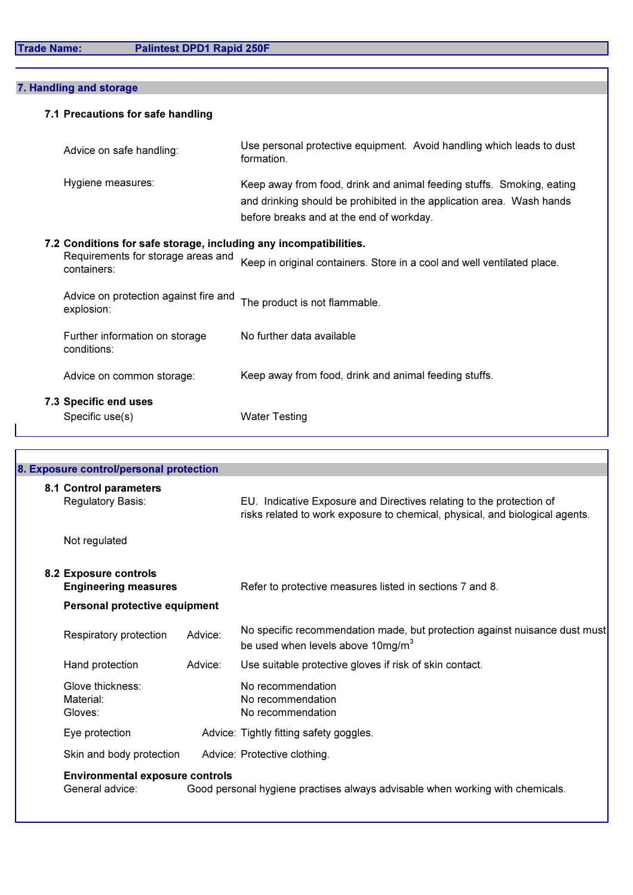# 7. Handling and storage

# 7.1 Precautions for safe handling

| Advice on safe handling:                                          | Use personal protective equipment. Avoid handling which leads to dust<br>formation.                                                                                                        |
|-------------------------------------------------------------------|--------------------------------------------------------------------------------------------------------------------------------------------------------------------------------------------|
| Hygiene measures:                                                 | Keep away from food, drink and animal feeding stuffs. Smoking, eating<br>and drinking should be prohibited in the application area. Wash hands<br>before breaks and at the end of workday. |
| 7.2 Conditions for safe storage, including any incompatibilities. |                                                                                                                                                                                            |
| Requirements for storage areas and<br>containers:                 | Keep in original containers. Store in a cool and well ventilated place.                                                                                                                    |

| <b>7.3 Specific end uses</b><br>Specific use(s)     | <b>Water Testing</b>                                  |
|-----------------------------------------------------|-------------------------------------------------------|
| Advice on common storage:                           | Keep away from food, drink and animal feeding stuffs. |
| Further information on storage<br>conditions:       | No further data available                             |
| Advice on protection against fire and<br>explosion: | The product is not flammable.                         |

|                               | 8. Exposure control/personal protection                   |         |                                                                                                                                                      |
|-------------------------------|-----------------------------------------------------------|---------|------------------------------------------------------------------------------------------------------------------------------------------------------|
|                               | 8.1 Control parameters<br>Regulatory Basis:               |         | EU. Indicative Exposure and Directives relating to the protection of<br>risks related to work exposure to chemical, physical, and biological agents. |
|                               | Not regulated                                             |         |                                                                                                                                                      |
|                               | 8.2 Exposure controls<br><b>Engineering measures</b>      |         | Refer to protective measures listed in sections 7 and 8.                                                                                             |
| Personal protective equipment |                                                           |         |                                                                                                                                                      |
|                               | Respiratory protection                                    | Advice: | No specific recommendation made, but protection against nuisance dust must<br>be used when levels above 10mg/m <sup>3</sup>                          |
|                               | Hand protection                                           | Advice: | Use suitable protective gloves if risk of skin contact.                                                                                              |
|                               | Glove thickness:<br>Material:<br>Gloves:                  |         | No recommendation<br>No recommendation<br>No recommendation                                                                                          |
|                               | Eye protection                                            |         | Advice: Tightly fitting safety goggles.                                                                                                              |
|                               | Skin and body protection                                  |         | Advice: Protective clothing.                                                                                                                         |
|                               | <b>Environmental exposure controls</b><br>General advice: |         | Good personal hygiene practises always advisable when working with chemicals.                                                                        |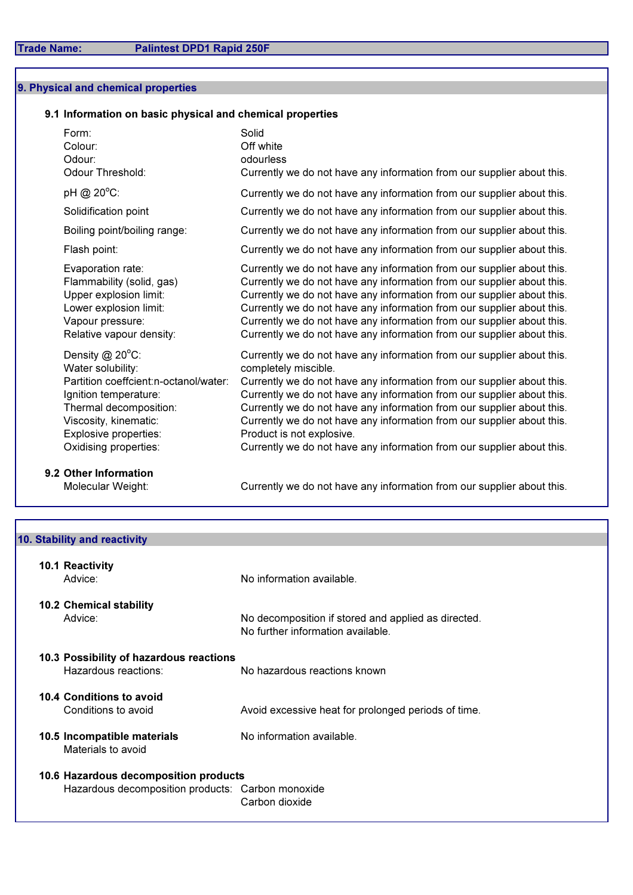## 9. Physical and chemical properties

## 9.1 Information on basic physical and chemical properties

| Form:<br>Colour:<br>Odour:<br>Odour Threshold:                                                                                                                                                                    | Solid<br>Off white<br>odourless<br>Currently we do not have any information from our supplier about this.                                                                                                                                                                                                                                                                                                                                                                                                     |
|-------------------------------------------------------------------------------------------------------------------------------------------------------------------------------------------------------------------|---------------------------------------------------------------------------------------------------------------------------------------------------------------------------------------------------------------------------------------------------------------------------------------------------------------------------------------------------------------------------------------------------------------------------------------------------------------------------------------------------------------|
| pH @ 20°C:                                                                                                                                                                                                        | Currently we do not have any information from our supplier about this.                                                                                                                                                                                                                                                                                                                                                                                                                                        |
| Solidification point                                                                                                                                                                                              | Currently we do not have any information from our supplier about this.                                                                                                                                                                                                                                                                                                                                                                                                                                        |
| Boiling point/boiling range:                                                                                                                                                                                      | Currently we do not have any information from our supplier about this.                                                                                                                                                                                                                                                                                                                                                                                                                                        |
| Flash point:                                                                                                                                                                                                      | Currently we do not have any information from our supplier about this.                                                                                                                                                                                                                                                                                                                                                                                                                                        |
| Evaporation rate:<br>Flammability (solid, gas)<br>Upper explosion limit:<br>Lower explosion limit:<br>Vapour pressure:<br>Relative vapour density:                                                                | Currently we do not have any information from our supplier about this.<br>Currently we do not have any information from our supplier about this.<br>Currently we do not have any information from our supplier about this.<br>Currently we do not have any information from our supplier about this.<br>Currently we do not have any information from our supplier about this.<br>Currently we do not have any information from our supplier about this.                                                      |
| Density $@$ 20 $°C$ :<br>Water solubility:<br>Partition coeffcient:n-octanol/water:<br>Ignition temperature:<br>Thermal decomposition:<br>Viscosity, kinematic:<br>Explosive properties:<br>Oxidising properties: | Currently we do not have any information from our supplier about this.<br>completely miscible.<br>Currently we do not have any information from our supplier about this.<br>Currently we do not have any information from our supplier about this.<br>Currently we do not have any information from our supplier about this.<br>Currently we do not have any information from our supplier about this.<br>Product is not explosive.<br>Currently we do not have any information from our supplier about this. |
|                                                                                                                                                                                                                   |                                                                                                                                                                                                                                                                                                                                                                                                                                                                                                               |

9.2 Other Information<br>Molecular Weight:

Currently we do not have any information from our supplier about this.

| 10. Stability and reactivity                      |                                                                                          |
|---------------------------------------------------|------------------------------------------------------------------------------------------|
|                                                   |                                                                                          |
| 10.1 Reactivity                                   |                                                                                          |
| Advice:                                           | No information available.                                                                |
| <b>10.2 Chemical stability</b>                    |                                                                                          |
| Advice:                                           | No decomposition if stored and applied as directed.<br>No further information available. |
| 10.3 Possibility of hazardous reactions           |                                                                                          |
| Hazardous reactions:                              | No hazardous reactions known                                                             |
| 10.4 Conditions to avoid                          |                                                                                          |
| Conditions to avoid                               | Avoid excessive heat for prolonged periods of time.                                      |
| 10.5 Incompatible materials<br>Materials to avoid | No information available.                                                                |
| 10.6 Hazardous decomposition products             |                                                                                          |
| Hazardous decomposition products: Carbon monoxide |                                                                                          |
|                                                   | Carbon dioxide                                                                           |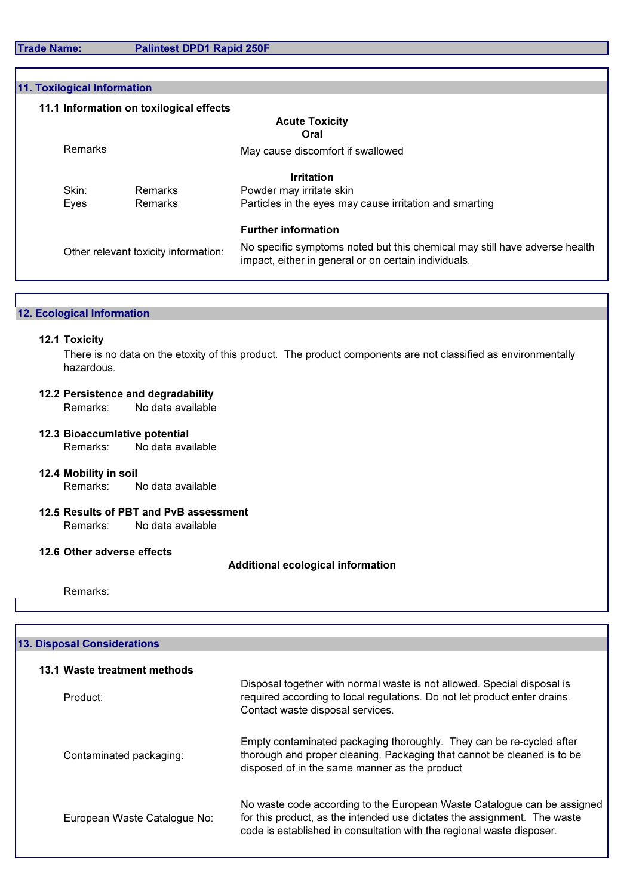Trade Name: Palintest DPD1 Rapid 250F

| 11. Toxilogical Information             |                                                                                                                                    |
|-----------------------------------------|------------------------------------------------------------------------------------------------------------------------------------|
| 11.1 Information on toxilogical effects |                                                                                                                                    |
|                                         | <b>Acute Toxicity</b>                                                                                                              |
|                                         | Oral                                                                                                                               |
| Remarks                                 | May cause discomfort if swallowed                                                                                                  |
|                                         | <b>Irritation</b>                                                                                                                  |
| Remarks<br>Skin:                        | Powder may irritate skin                                                                                                           |
| Remarks<br>Eyes                         | Particles in the eyes may cause irritation and smarting                                                                            |
|                                         | <b>Further information</b>                                                                                                         |
| Other relevant toxicity information:    | No specific symptoms noted but this chemical may still have adverse health<br>impact, either in general or on certain individuals. |

## 12. Ecological Information

#### 12.1 Toxicity

There is no data on the etoxity of this product. The product components are not classified as environmentally hazardous.

# **12.2 Persistence and degradability<br>Remarks: No data available**

No data available

- 12.3 Bioaccumlative potential Remarks: No data available
- 12.4 Mobility in soil Remarks: No data available
- 12.5 Results of PBT and PvB assessment Remarks: No data available

#### 12.6 Other adverse effects

## Additional ecological information

Remarks:

| <b>13. Disposal Considerations</b> |                                                                                                                                                                                                                              |  |
|------------------------------------|------------------------------------------------------------------------------------------------------------------------------------------------------------------------------------------------------------------------------|--|
| 13.1 Waste treatment methods       |                                                                                                                                                                                                                              |  |
| Product:                           | Disposal together with normal waste is not allowed. Special disposal is<br>required according to local regulations. Do not let product enter drains.<br>Contact waste disposal services.                                     |  |
| Contaminated packaging:            | Empty contaminated packaging thoroughly. They can be re-cycled after<br>thorough and proper cleaning. Packaging that cannot be cleaned is to be<br>disposed of in the same manner as the product                             |  |
| European Waste Catalogue No:       | No waste code according to the European Waste Catalogue can be assigned<br>for this product, as the intended use dictates the assignment. The waste<br>code is established in consultation with the regional waste disposer. |  |